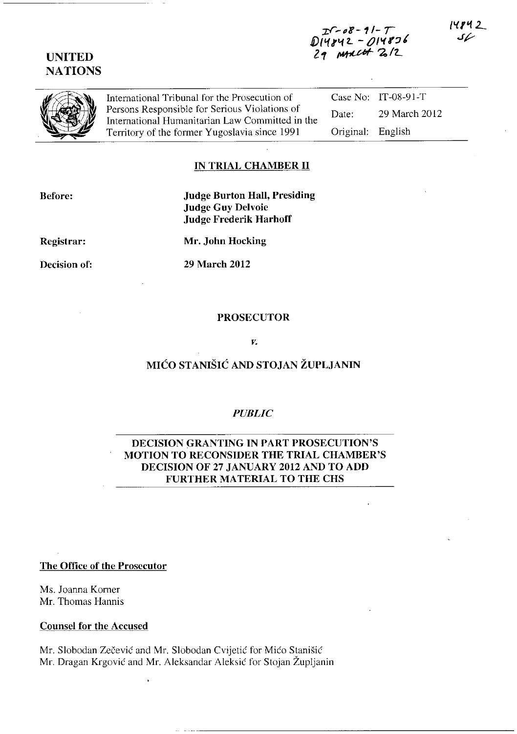# UNITED **NATIONS**

International Tribunal for the Prosecution of Case No: IT-08-91-T<br>Persons Responsible for Serious Violations of Details 20 Marsh 24 Fersons Responsible for Serious Violations of Date: 29 March 2012<br>International Humanitarian Law Committed in the Date: 29 March 2012<br>Territory of the former Yugoslavia since 1991 Original: English Territory of the former Yugoslavia since 1991

## IN TRIAL CHAMBER **11**

Before:

Judge Burton Hall, Presiding Judge Guy Delvoie Judge Frederik Harhoff

Registrar:

Decision of:

Mr. John Hocking

29 March 2012

#### PROSECUTOR

*Y.* 

# MICO STANISIC AND STOJAN ZUPLJANIN

### *PUBLIC*

## DECISION GRANTING IN PART PROSECUTION'S MOTION TO RECONSIDER THE TRIAL CHAMBER'S DECISION OF 27 JANUARY 2012 AND TO ADD FURTHER MATERIAL TO THE CHS

The Office of the Prosecutor

Ms. Joanna Korner Mr. Thomas Hannis

Counsel for the Accused

Mr. Slobodan Zecevic and Mr. Slobodan Cvijetic for Mico Stanisic Mr. Dragan Krgovic and Mr. Aleksandar Aleksic for Stojan Zupljanin

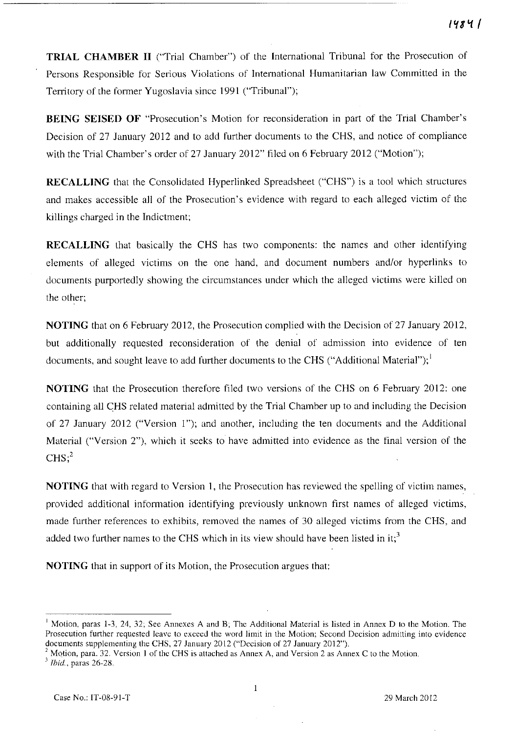**TRIAL CHAMBER 11** ("Trial Chamber") of the International Tribunal for the Prosecution of Persons Responsible for Serious Violations of International Humanitarian law Committed in the Territory of the former Yugoslavia since 1991 ("Tribunal");

**BEING SEISED OF "Prosecution's Motion for reconsideration in part of the Trial Chamber's** Decision of 27 January 2012 and to add further documents to the CHS, and notice of compliance with the Trial Chamber's order of 27 January 2012" filed on 6 February 2012 ("Motion");

**RECALLING** that the Consolidated Hyperlinked Spreadsheet ("CHS") is a tool which structures and makes accessible all of the Prosecution's evidence with regard to each alleged victim of the killings charged in the Indictment;

**RECALLING** that basically the CHS has two components: the names and other identifying elements of alleged victims on the one hand, and document numbers and/or hyperlinks to documents purportedly showing the circumstances under which the alleged victims were killed on the other;

**NOTING** that on 6 February 2012, the Prosecution complied with the Decision of 27 January 2012, but additionally requested reconsideration of the denial of admission into evidence of ten documents, and sought leave to add further documents to the CHS ("Additional Material");<sup>1</sup>

**NOTING** that the Prosecution therefore filed two versions of the CHS on 6 February 2012: one containing all CHS related material admitted by the Trial Chamber up to and including the Decision of 27 January 2012 ("Version 1"); and another, including the ten documents and the Additional Material ("Version 2"), which it seeks to have admitted into evidence as the final version of the  $CHS;^{2}$ 

**NOTING** that with regard to Version **1,** the Prosecution has reviewed the spelling of victim names, provided additional infonnation identifying previously unknown first names of alleged victims, made further references to exhibits, removed the names of 30 alleged victims from the CHS, and added two further names to the CHS which in its view should have been listed in it;<sup>3</sup>

**NOTING** that in support of its Motion, the Prosecution argues that:

<sup>&</sup>lt;sup>1</sup> Motion, paras 1-3, 24, 32; See Annexes A and B; The Additional Material is listed in Annex D to the Motion. The **Prosecution further requested leave to exceed the word limit in the Motion; Second Decision admitting into evidence**  documents supplementing the CHS, 27 January 2012 ("Decision of 27 January 2012").

<sup>&</sup>lt;sup>2</sup> Motion, para. 32. Version 1 of the CHS is attached as Annex A, and Version 2 as Annex C to the Motion.

<sup>&</sup>lt;sup>3</sup> *Ibid.*, paras 26-28.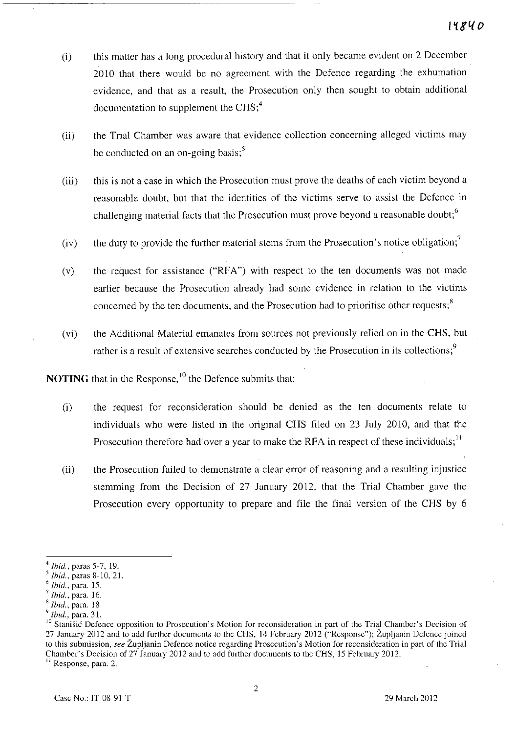- (i) this mattcr has a long procedural history and that **it** only became evident on 2 December 2010 that there would be no agreement with the Defence regarding the exhumation evidence, and that as a result, the Prosecution only then sought to obtain additional documentation to supplement the  $CHS<sub>i</sub><sup>4</sup>$
- (ii) the Trial Chamber was aware that evidence collection concerning alleged victims may be conducted on an on-going basis; $\frac{5}{5}$
- (iii) this is not a case in which the Prosecution must prove the deaths of each victim beyond a reasonable doubt, but that the identities of the victims serve to assist the Defence **in**  challenging material facts that the Prosecution must prove beyond a reasonable doubt;<sup>6</sup>
- (iv) the duty to provide the further material stems from the Prosecution's notice obligation;<sup>7</sup>
- (v) the request for assistance ("RFA") with respect to the ten documents was not made earlier because the Prosecution already had some evidence in relation to the victims concerned by the ten documents, and the Prosecution had to prioritise other requests;<sup>8</sup>
- (vi) the Additional Material emanates from sources not previously rclied on **in** the CHS, but rather is a result of extensive searches conducted by the Prosecution in its collections;<sup>9</sup>

**NOTING** that in the Response,<sup>10</sup> the Defence submits that:

- (i) the request for reconsideration should be denied as the ten documents relate to individuals who were listed in the original CHS filed on 23 July 2010, and that the Prosecution therefore had over a year to make the RFA in respect of these individuals;<sup>11</sup>
- (ii) the Prosecution failed to demonstrate a clear error of reasoning and a resulting injustice stemming from the Decision of 27 January 2012, that the Trial Chamber gave the Prosecution every opportunity to prepare and file the final version of the CHS by 6

**11 Response, para. 2.** 

<sup>4</sup>*Ihid ..* paras 5-7,19.

<sup>,</sup> *Ihid.,* paras 8-10, 21.

<sup>6</sup>*Ibid.,* para. 15.

<sup>7</sup>*Ihid.,* para. 16.

<sup>,</sup> *Ihid.,* para. 18

<sup>9</sup>*Ihid.,* para. 31.

<sup>&</sup>lt;sup>10</sup> Stanišić Defence opposition to Prosecution's Motion for reconsideration in part of the Trial Chamber's Decision of 27 January 2012 and to add further documents to the CHS, 14 February 2012 ("Response"); Zupljanin Defence joined **to this submission,** *see* **Zupljanin Defence notice regarding Prosecution's Motion for reconsideration in part of the Trial**  Chamber's Decision of 27 January 2012 and to add further documents to the CHS, 15 February 2012.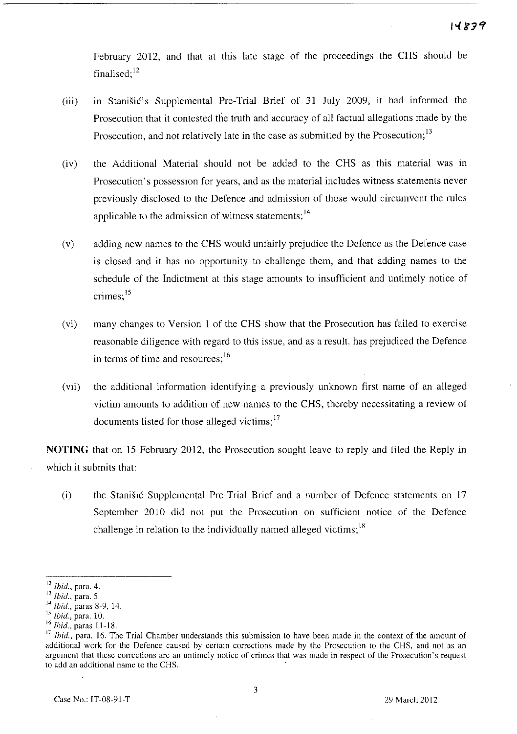February 2012, and that at this late stage of the proceedings the CHS should be finalised;<sup>12</sup>

- (iii) in Stanisic's Supplemental Pre-Trial Brief of 31 July 2009, it had informed the Prosecution that it contested the truth and accuracy of all factual allegations made by the Prosecution, and not relatively late in the case as submitted by the Prosecution;<sup>13</sup>
- (iv) the Additional Material should not be added to the CHS as this material was m Prosecution's possession for years, and as the material includes witness statements never previously disclosed to the Defence and admission of those would circumvent the rules applicable to the admission of witness statements:<sup>14</sup>
- (v) adding new names to the CHS would unfairly prejudice the Defence as the Defence case is closed and it has no opportunity to challenge them, and that adding names to the schedule of the Indictment at this stage amounts to insufficient and untimely notice of crimes;<sup>15</sup>
- (vi) many changes to Version I of the CHS show that the Prosecution has failed to exercise reasonable diligence with regard to this issue, and as a result, has prejudiced the Defence in terms of time and resources;<sup>16</sup>
- (vii) the additional information identifying a previously unknown first name of an alleged victim amounts to addition of new names to the CHS, thereby necessitating a review of documents listed for those alleged victims; 17

**NOTING** that on 15 February 2012, the Prosecution sought leave to reply and filed the Reply in which it submits that:

(i) the Stanisic Supplemental Pre-Trial Brief and a number of Defence statements on 17 September 2010 did not put the Prosecution on sufficient notice of the Defence challenge in relation to the individually named alleged victims;<sup>18</sup>

<sup>16</sup>*Ihid.,* paras 11-18.

<sup>12</sup>*Ihid.,* para. 4.

IJ *Ihid.,* para. 5.

<sup>14</sup>*Ihid.,* paras 8-9, 14.

IS **Ibid., para. 10.** 

**<sup>17</sup>Ihid., para. 16. The Trial Chamber understands this submission to have been made in the context of the amount of additional work for the Defence caused by certain corrections made by the Prosecution to the CHS, and not as an argument that these corrections are an untimely notice of crimes that was made in respect of the Prosecution's request to add an additional name to the CHS.**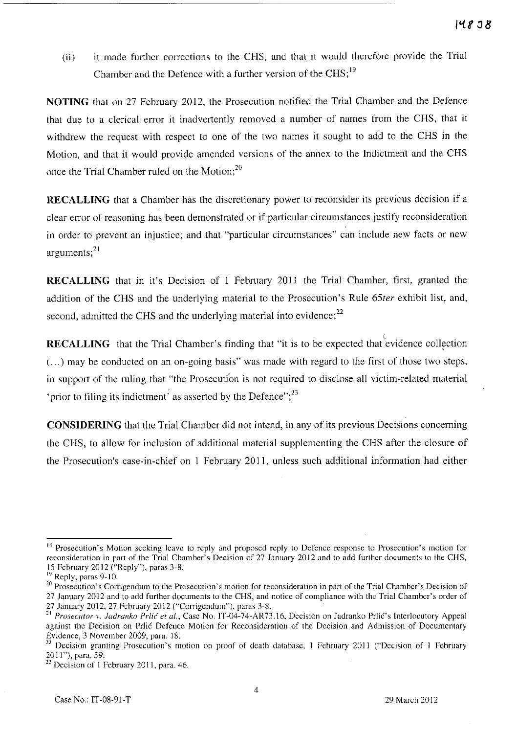Cii) it made further corrections to the CHS, and that it would therefore provide the Trial Chamber and the Defence with a further version of the CHS;<sup>19</sup>

**NOTING** that on 27 February 2012, the Prosecution notified the Trial Chamber and the Defence that due to a clerical error it inadvertently removed a number of names from the CHS, that it withdrew the request with respect to one of the two names it sought to add to the CHS in the Motion, and that it would provide amended versions of the annex to the Indictment and the CHS once the Trial Chamber ruled on the Motion;<sup>20</sup>

**RECALLING** that a Chamber has the discretionary power to reconsider its previous decision if a clear error of reasoning has been demonstrated or if particular circumstances justify reconsideration in order to prevent an injustice; and that "particular circumstances" can include new facts or new arguments; $^{21}$ 

**RECALLING** that in it's Decision of I February 2011 the Trial Chamber, first, granted the addition of the CHS and the underlying material to the Prosecution's Rule *65ter* exhibit list, and, second, admitted the CHS and the underlying material into evidence; $^{22}$ 

**RECALLING** that the Trial Chamber's finding that "it is to be expected that evidence collection (...) may be conducted on an on-going basis" was made with regard to the first of those two steps, in support of the ruling that "the Prosecution is not required to disclose all victim-related material 'prior to filing its indictment<sup>;</sup> as asserted by the Defence";<sup>23</sup>

**CONSIDERING** that the Trial Chamber did not intend, in any of its previous Decisions concerning the CHS, to allow for inclusion of additional material supplementing the CHS after the closure of the Prosecution's case-in-chief on I February 2011, unless such additional information had either

<sup>&</sup>lt;sup>18</sup> Prosecution's Motion seeking leave to reply and proposed reply to Defence response to Prosecution's motion for **reconsideration in part of the Trial Chamber's Decision of 27 January 2012 and to add further documents to the CHS,**  15 February 2012 ("Reply"), paras 3-8.

<sup>&</sup>lt;sup>19</sup> Reply, paras 9-10.

<sup>&</sup>lt;sup>20</sup> Prosecution's Corrigendum to the Prosecution's motion for reconsideration in part of the Trial Chamber's Decision of 27 January 2012 and to add further documents to the CHS, and notice of compliance with the Trial Chamber's order of 27 January 2012, 27 February 2012 ("Corrigendum"), paras 3-8.

<sup>&</sup>lt;sup>21</sup> Prosecutor v. Jadranko Prlić et al., Case No. IT-04-74-AR73.16, Decision on Jadranko Prlić's Interlocutory Appeal **against the Decision on Prlic Defence Motion for Reconsideration of the Decision and Admission of Documentary**  Evidence, 3 November 2009, para. 18.

<sup>&</sup>lt;sup>22</sup> Decision granting Prosecution's motion on proof of death database, 1 February 2011 ("Decision of 1 February 2011"), para. 59.

<sup>23</sup>**Decision of 1 February 2011, para. 46.**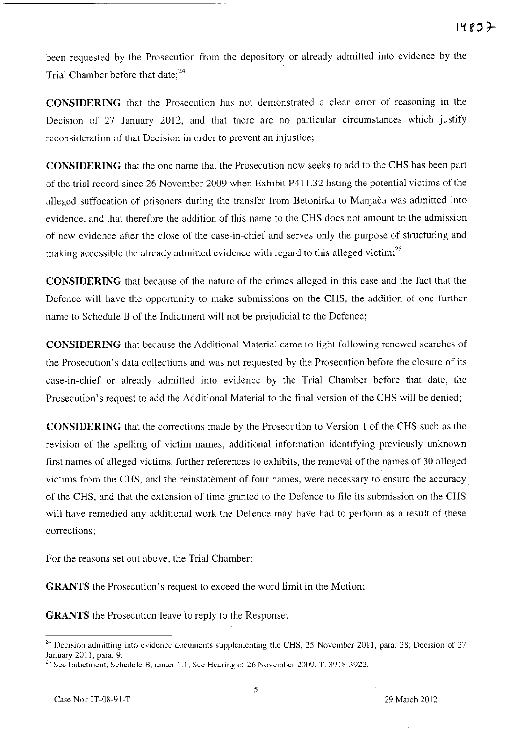been requested by the Prosecution from the depository or already admitted into evidence by the Trial Chamber before that date; $^{24}$ 

**CONSIDERING** that the Prosecution has not demonstrated a clear error of reasoning in the Decision of 27 January 2012, and that there are no particular circumstances which justify reconsideration of that Decision in order to prevent an injustice;

**CONSIDERING** that the one name that the Prosecution now seeks to add to the CHS has been part of the trial record since 26 November 2009 when Exhibit P411.32 listing the potential victims of the alleged suffocation of prisoners during the transfer from Betonirka to Manjaca was admitted into evidence, and that therefore the addition of this name to the CHS does not amount to the admission of new evidence after the close of the case-in-chief and serves only the purpose of structuring and making accessible the already admitted evidence with regard to this alleged victim;<sup>25</sup>

**CONSIDERING** that because of the nature of the crimes alleged in this case and the fact that the Defence will have the opportunity to make submissions on the CHS, the addition of one further name to Schedule B of the Indictment will not be prejudicial to the Defence;

**CONSIDERING** that because the Additional Material came to light following renewed searches of the Prosecution's data collections and was not requested by the Prosecution before the closure of its case-in-chief or already admitted into evidence by the Trial Chamber before that date, the Prosecution's request to add the Additional Material to the final version of the CHS will be denied;

**CONSIDERING** that the corrections made by the Prosecution to Version 1 of the CHS such as the revision of the spelling of victim names, additional information identifying previously unknown first names of alleged victims, further references to exhibits, the removal of the names of 30 alleged victims from the CHS, and the reinstatement of four names, were necessary to ensure the accuracy of the CHS, and that the extension of time granted to the Defence to file its submission on the CHS will have remedied any additional work the Defence may have had to perform as a result of these corrections;

For the reasons set out above, the Trial Chamber:

**GRANTS** the Prosecution's request to exceed the word limit in the Motion;

**GRANTS** the Prosecution leave to reply to the Response;

<sup>&</sup>lt;sup>24</sup> Decision admitting into evidence documents supplementing the CHS, 25 November 2011, para. 28; Decision of 27 January 2011, para. 9.

 $^{25}$  See Indictment, Schedule B, under 1.1; See Hearing of 26 November 2009, T. 3918-3922.